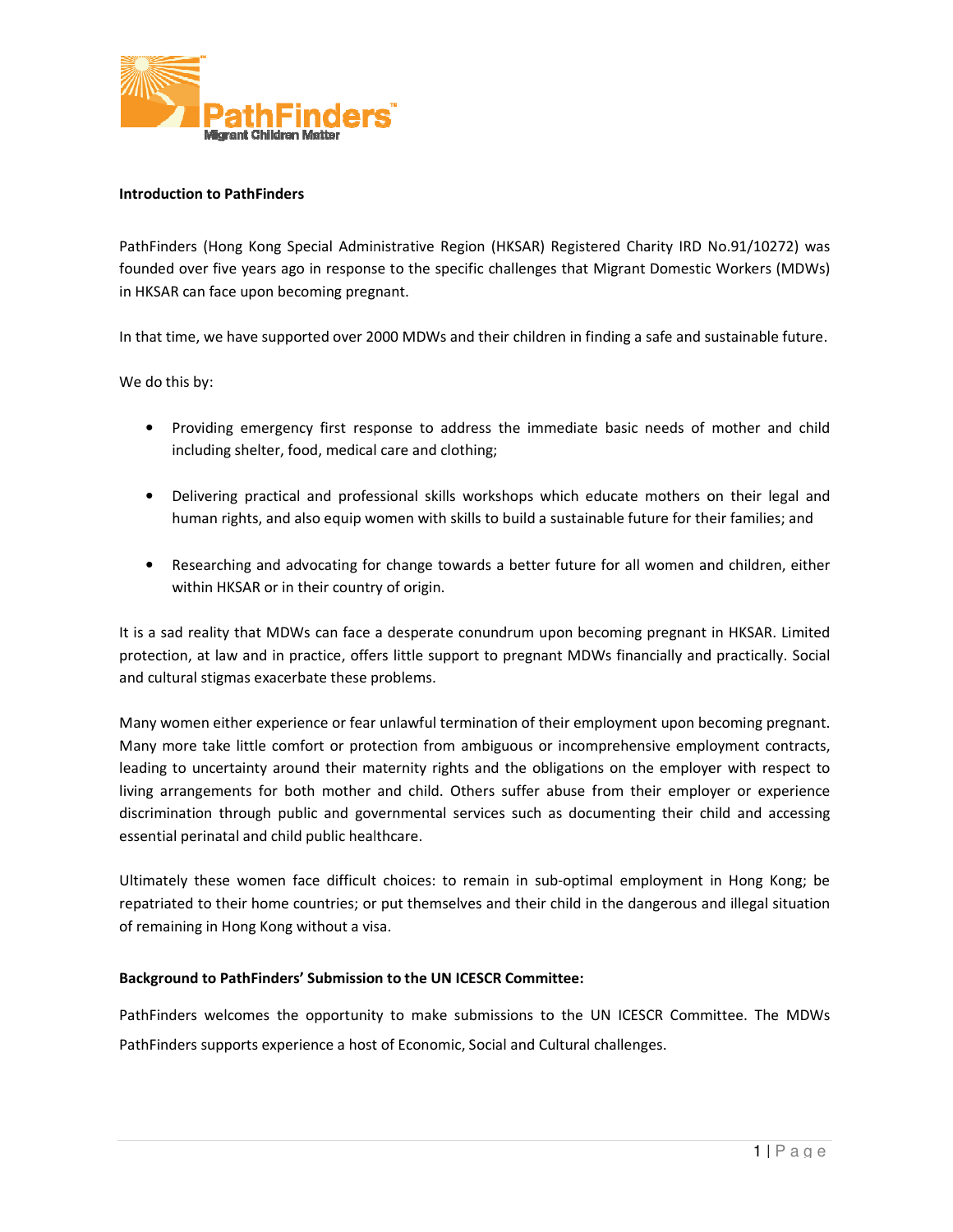

### Introduction to PathFinders

PathFinders (Hong Kong Special Administrative Region (HKSAR) Registered Charity IRD No.91/10272) was founded over five years ago in response to the specific challenges that Migrant Domestic Workers (MDWs) in HKSAR can face upon becoming pregnant.

In that time, we have supported over 2000 MDWs and their children in finding a safe and sustainable future.

We do this by:

- Providing emergency first response to address the immediate basic needs of mother and child including shelter, food, medical care and clothing; • Providing emergency first response to address the immediate basic needs of mother and child<br>including shelter, food, medical care and clothing;<br>• Delivering practical and professional skills workshops which educate mothe
- human rights, and also equip women with skills to build a sustainable future for their families; and
- Researching and advocating for change towards a better future for all women and children, either within HKSAR or in their country of origin.

It is a sad reality that MDWs can face a desperate conundrum upon becoming pregnant in HKSAR. Limited protection, at law and in practice, offers little support to pregnant MDWs financially and practically. Social and cultural stigmas exacerbate these problems.

Many women either experience or fear unlawful termination of their employment upon becoming pregnant. Many more take little comfort or protection from ambiguous or incomprehensive employment contracts, leading to uncertainty around their maternity rights and the obligations on the employer with respect to living arrangements for both mother and child. Others suffer abuse from their employer or experience discrimination through public and governmental services such as documenting their child and accessing essential perinatal and child public healthcare. founded over five years ago in response to the specific challenges that Migrant Domestic Workers (MDWs)<br>In HKSAR can face upon becoming pregnant.<br>In that time, we have supported over 2000 MDWs and their children in finding arrangements for both mother and child. Others suffer abuse from their employer or experience<br>mination through public and governmental services such as documenting their child and accessing<br>tial perinatal and child public nan rights, and also equip women with skills to build a sustainable future for their<br>earching and advocating for change towards a better future for all women and<br>in HKSAR or in their country of origin.<br>Laility that MDWs ca

Ultimately these women face difficult choices: to remain in sub-optimal employment in Hong Kong; be repatriated to their home countries; or put themselves and their child in the dangerous and illegal situation<br>of remaining in Hong Kong without a visa. of remaining in Hong Kong without a visa.

## Background to PathFinders' Submission to the UN ICESCR Committee:

PathFinders welcomes the opportunity to make submissions to the UN ICESCR Committee. The MDWs PathFinders supports experience a host of Economic, Social and Cultural challenges.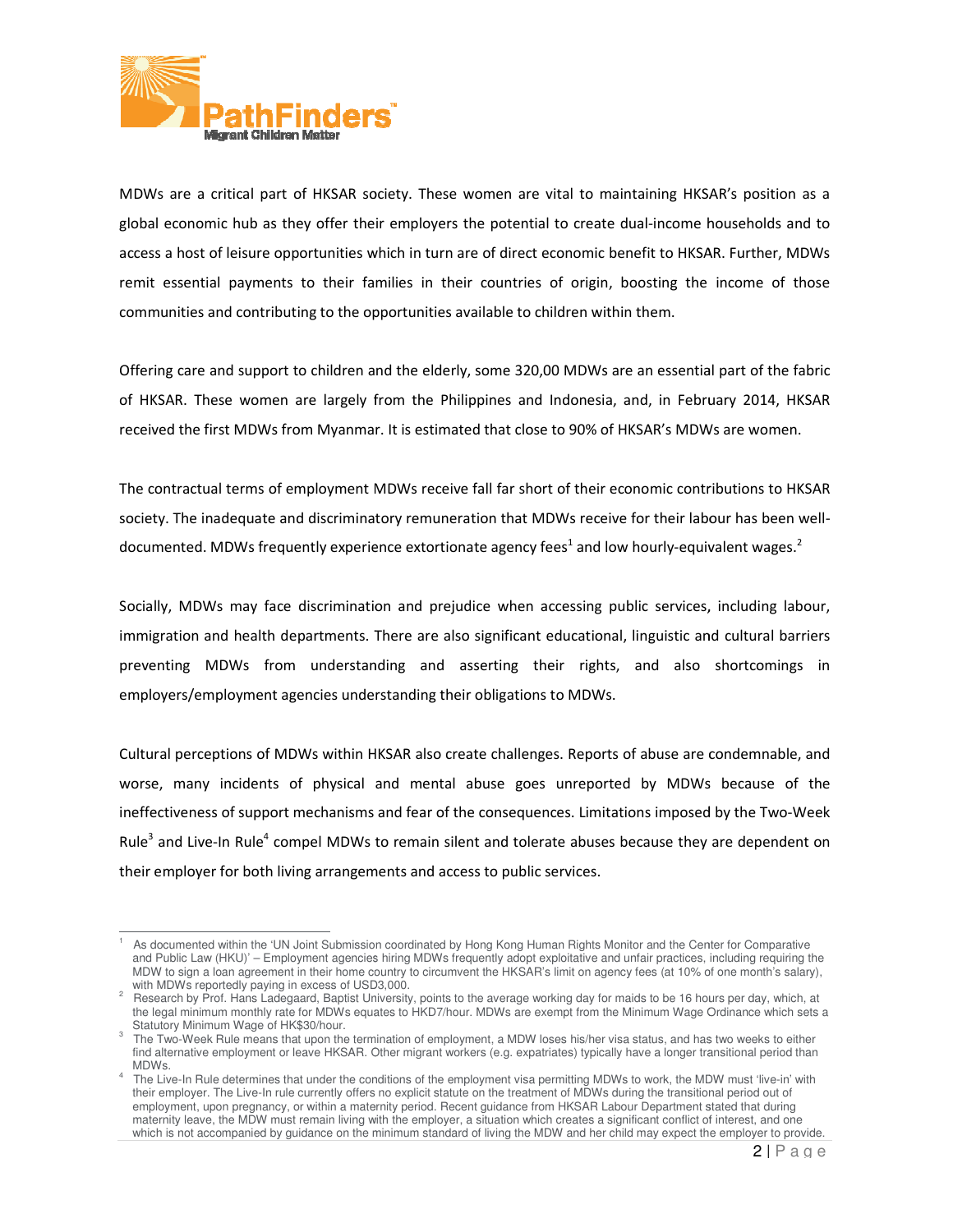

 $\overline{a}$ 

MDWs are a critical part of HKSAR society. These women are vital to maintaining HKSAR's position as a MDWs are a critical part of HKSAR society. These women are vital to maintaining HKSAR's position as a<br>global economic hub as they offer their employers the potential to create dual-income households and to access a host of leisure opportunities which in turn are of direct economic benefit to HKSAR. Further, MDWs communities and contributing to the opportunities available to children within them. of leisure opportunities which in turn are of direct economic benefit to HKSAR. Further, MDWs<br>al payments to their families in their countries of origin, boosting the income of those<br>and contributing to the opportunities a

remit essential payments to their families in their countries of origin, boosting the income of those<br>communities and contributing to the opportunities available to children within them.<br>Offering care and support to childr Offering care and support to children and the elderly, some 320,00 MDWs are an essential part of the fabric of HKSAR. These women are largely from the Philippines and Indonesia, and, in February 2014, HKSAR received the first MDWs from Myanmar. It is estimated that close to 90% of HKSAR's MDWs are women.

received the first MDWs from Myanmar. It is estimated that close to 90% of HKSAR's MDWs are women.<br>The contractual terms of employment MDWs receive fall far short of their economic contributions to HKSAR The contractual terms of employment MDWs receive fall far short of their economic contributions to HKSAR<br>society. The inadequate and discriminatory remuneration that MDWs receive for their labour has been welldocumented. MDWs frequently experience extortionate agency fees<sup>1</sup> and low hourly-equivalent wages.<sup>2</sup>

Socially, MDWs may face discrimination and prejudice when accessing public services, including labour,<br>immigration and health departments. There are also significant educational, linguistic and cultural barriers immigration and health departments. There are also significant educational, linguistic and cultural barriers preventing MDWs from understanding and asserting their rights, and also shortcomings in employers/employment agencies understanding their obligations to MDWs. employers/employment agencies understanding their obligations to MDWs.

Cultural perceptions of MDWs within HKSAR also create challenges. Reports of abuse are condemnable, and worse, many incidents of physical and mental abuse goes unreported by MDWs because of the ineffectiveness of support mechanisms and fear of the consequences. Limitations imposed by the Two Rule<sup>3</sup> and Live-In Rule<sup>4</sup> compel MDWs to remain silent and tolerate abuses because they are dependent on their employer for both living arrangements and access to public services. MDWs within HKSAR also create challenges. Reports of abuse are condemnable, a<br>i of physical and mental abuse goes unreported by MDWs because of t<br>rt mechanisms and fear of the consequences. Limitations imposed by the Two-W tion and health departments. There are also significant educational, linguistic and cultural barriers<br>ng MDWs from understanding and asserting their rights, and also shortcomings in<br>rs/employment agencies understanding the

<sup>1</sup> As documented within the 'UN Joint Submission coordinated by Hong Kong Human Rights Monitor and the Center for Comparative and Public Law (HKU)' – Employment agencies hiring MDWs frequently adopt exploitative and unfair practices, including requiring the MDW to sign a loan agreement in their home country to circumvent the HKSAR's limit on agency fees (at 10% of one month's salary), with MDWs reportedly paying in excess of USD3,000. coordinated by Hong Kong Human Rights Monitor and the Center for Comparative<br>iniring MDWs frequently adopt exploitative and unfair practices, including requiring the<br>intry to circumvent the HKSAR's limit on agency fees (at

<sup>&</sup>lt;sup>2</sup> Research by Prof. Hans Ladegaard, Baptist University, points to the legal minimum monthly rate for MDWs equates to HKD7/hour. MDWs are exempt from the Minimum Wage Ordinance which sets a Statutory Minimum Wage of HK\$30/hour. to the average working day for maids to be 16 hours per are exempt from the Minimum Wage Ordinance which sets a

 $3$  The Two-Week Rule means that upon the termination of employment, a MDW loses his/her visa status, and has two weeks to either find alternative employment or leave HKSAR. Other migrant workers (e.g. expatriates) typically have a longer transitional period than MDWs. find alternative employment or leave HKSAR. Other migrant workers (e.g. expatriates) typically have a longer transitional period than<br>MDWs.<br>The Live-In Rule determines that under the conditions of the employment visa permi the legal minimum monthly rate for MDWs equates to HKD7/hour. MDWs are exempt from the Minimum Wage Ordinance which sets<br>Statutory Minimum Wage of HK\$30/hour.<br>The Two-Week Rule means that upon the termination of employment

<sup>4</sup> their employer. The Live-In rule currently offers no explicit statute on the treatment of MDWs during the transitional period out of their employer. The Live-In rule currently offers no explicit statute on the treatment of MDWs during the transitional period out of<br>employment, upon pregnancy, or within a maternity period. Recent guidance from HKSAR Labo their employer. The Live-In rule currently offers no explicit statute on the treatment of MDWs during the transitional period out of<br>employment, upon pregnancy, or within a maternity period. Recent guidance from HKSAR Labo maternity leave, the MDW must remain living with the employer, a situation which creates a significant conflict of interest, and one<br>which is not accompanied by guidance on the minimum standard of living the MDW and her ch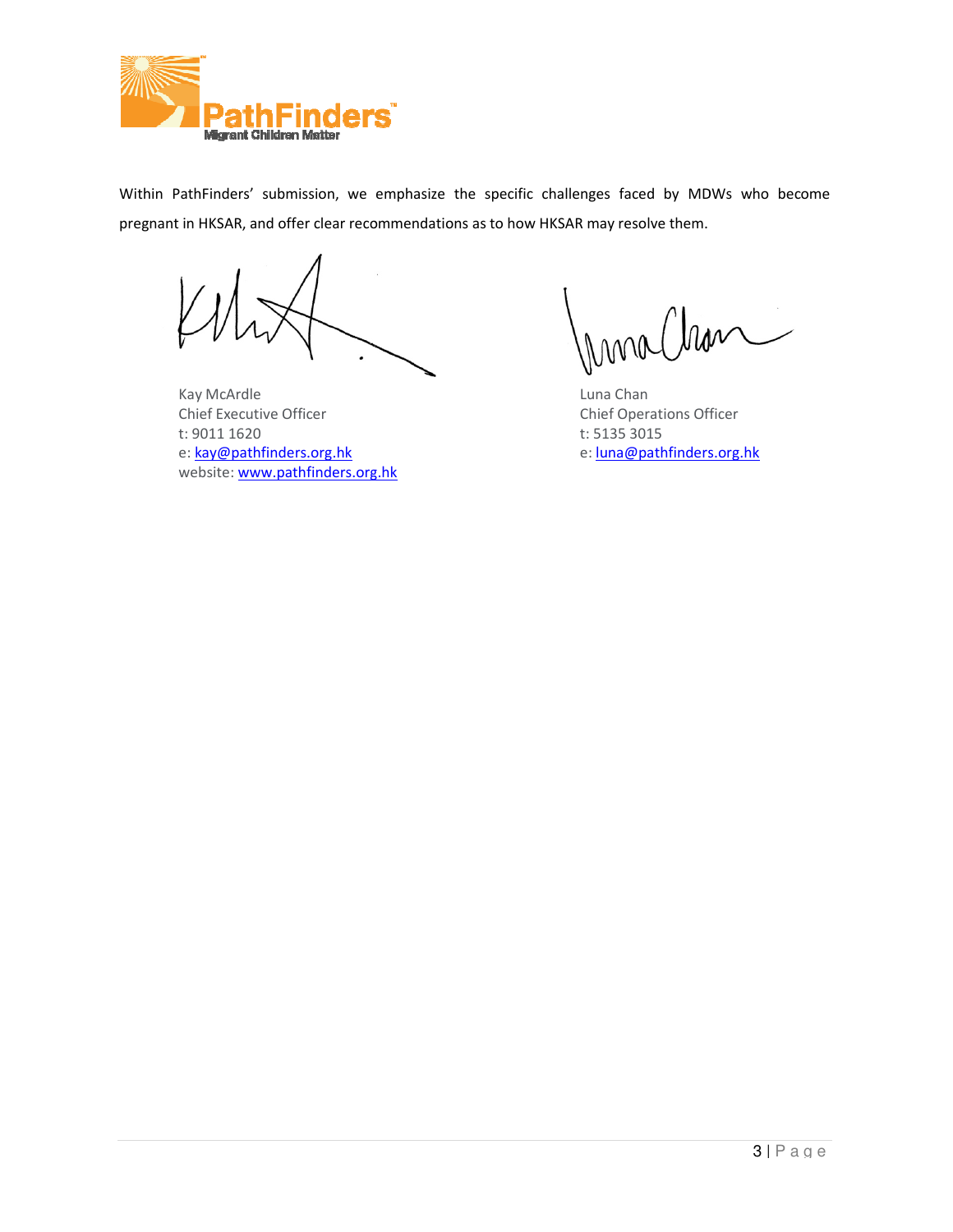

Within PathFinders' submission, we emphasize the specific challenges faced by MDWs who become Within PathFinders' submission, we emphasize the specific challenges faced by ME<br>pregnant in HKSAR, and offer clear recommendations as to how HKSAR may resolve them.

Kay McArdle Chief Executive Officer t: 9011 1620 e: kay@pathfinders.org.hk website: www.pathfinders.org.hk

morclean

Luna Chan Chief Operations Officer t: 5135 3015 e: luna@pathfinders.org.hk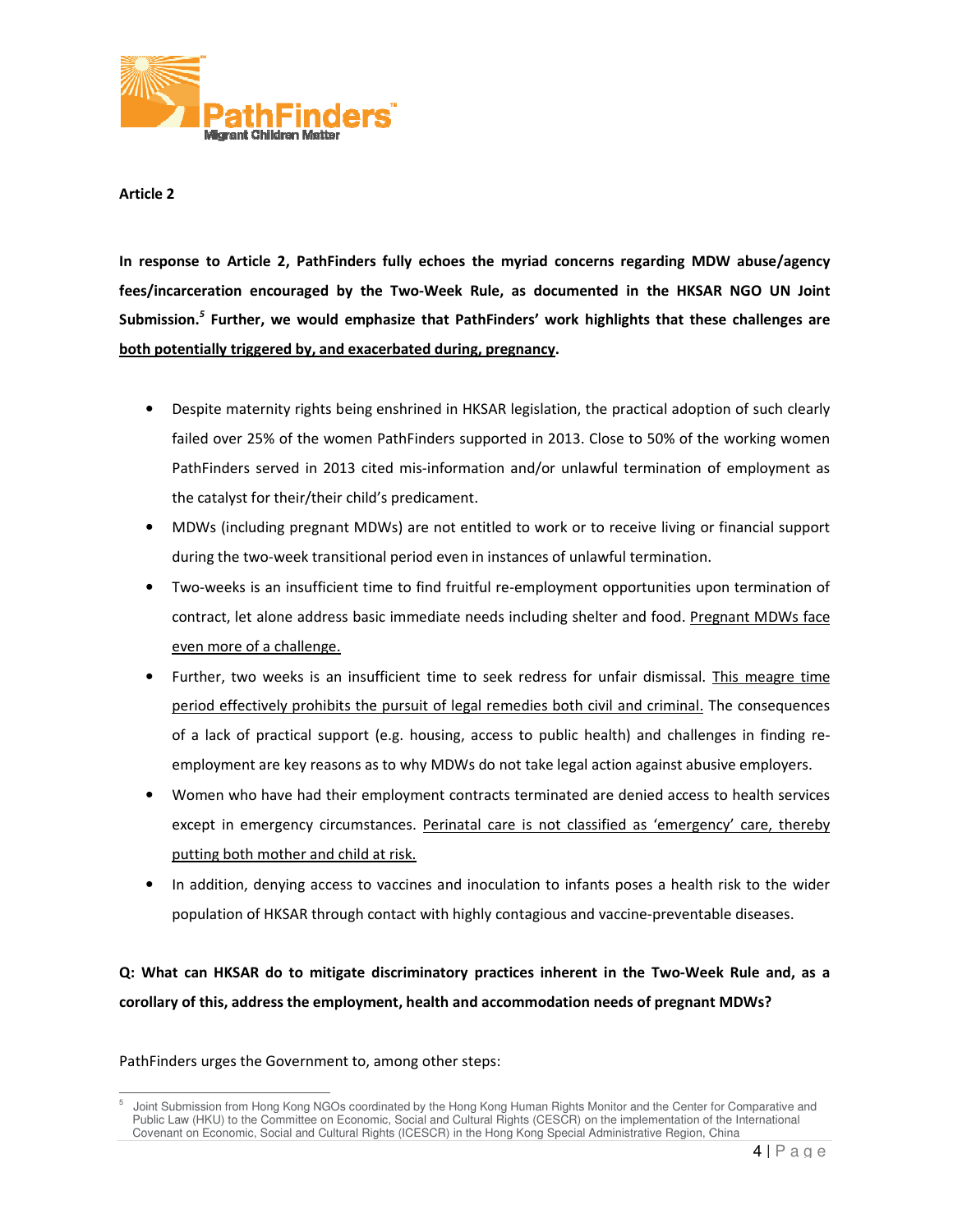

In response to Article 2, PathFinders fully echoes the myriad concerns regarding MDW abuse/agency In response to Article 2, PathFinders fully echoes the myriad concerns regarding MDW abuse/agency<br>fees/incarceration encouraged by the Two-Week Rule, as documented in the HKSAR NGO UN Joint In response to Article 2, PathFinders fully echoes the myriad concerns regarding MDW abuse/agency<br>fees/incarceration encouraged by the Two-Week Rule, as documented in the HKSAR NGO UN Joint<br>Submission.<sup>5</sup> Further, we would both potentially triggered by, and exacerbated during, pregnancy.

- Despite maternity rights being enshrined in HKSAR legislation, the practical adoption of such clearly failed over 25% of the women PathFinders supported in 2013. Close to 50% of the working women failed over 25% of the women PathFinders supported in 2013. Close to 50% of the working women PathFinders served in 2013 cited mis-information and/or unlawful termination of employment as the catalyst for their/their child's predicament.
- the catalyst for their/their child's predicament.<br>• MDWs (including pregnant MDWs) are not entitled to work or to receive living or financial support during the two-week transitional period even in instances of unlawful termination.
- Two-weeks is an insufficient time to find fruitful re-employment opportunities upon termination of contract, let alone address basic immediate needs including shelter and food. Pregnant MDWs face even more of a challenge. erved in 2013 cited mis-information and/or unlawful termination of employment as<br>or their/their child's predicament.<br>ling pregnant MDWs) are not entitled to work or to receive living or financial support<br>o-week transitiona
- Further, two weeks is an insufficient time to seek redress for unfair dismissal. This meagre time period effectively prohibits the pursuit of legal remedies both civil and criminal. The consequences period effectively prohibits the pursuit of legal remedies both civil and criminal. The consequences of a lack of practical support (e.g. housing, access to public health) and challenges in finding re-<br>employment are key reasons as to why MDWs do not take legal action against abusive employers. employment are key reasons as to why MDWs do not take legal action against abusive employers.
- Women who have had their employment contracts terminated are denied access to health services except in emergency circumstances. Perinatal care is not classified as 'emergency' care, thereby except in emergency circumstances. Perinatal care is not classified as 'emergency' care, thereby putting both mother and child at risk. are key reasons as to why MDWs do not take legal action against abusive employers.<br>
have had their employment contracts terminated are denied access to health services<br>
ergency circumstances. <u>Perinatal care is not classif</u>
- In addition, denying access to vaccines and inoculation to infants poses a health risk to the wider population of HKSAR through contact with highly contagious and vaccine-preventable diseases.

Q: What can HKSAR do to mitigate discriminatory practices inherent in the Two-Week Rule and, as a Q: What can HKSAR do to mitigate discriminatory practices inherent in the Two-Week Rule a<br>corollary of this, address the employment, health and accommodation needs of pregnant MDWs?

 $\overline{a}$ 5 Joint Submission from Hong Kong NGOs coordinated by the Hong Kong Human Rights Monitor and the Center for Comparative and Joint Submission from Hong Kong NGOs coordinated by the Hong Kong Human Rights Monitor and the Center for Comparative and<br>Public Law (HKU) to the Committee on Economic, Social and Cultural Rights (CESCR) on the implementat Covenant on Economic, Social and Cultural Rights (ICESCR) in the Hong Kong Special Administrative Region, China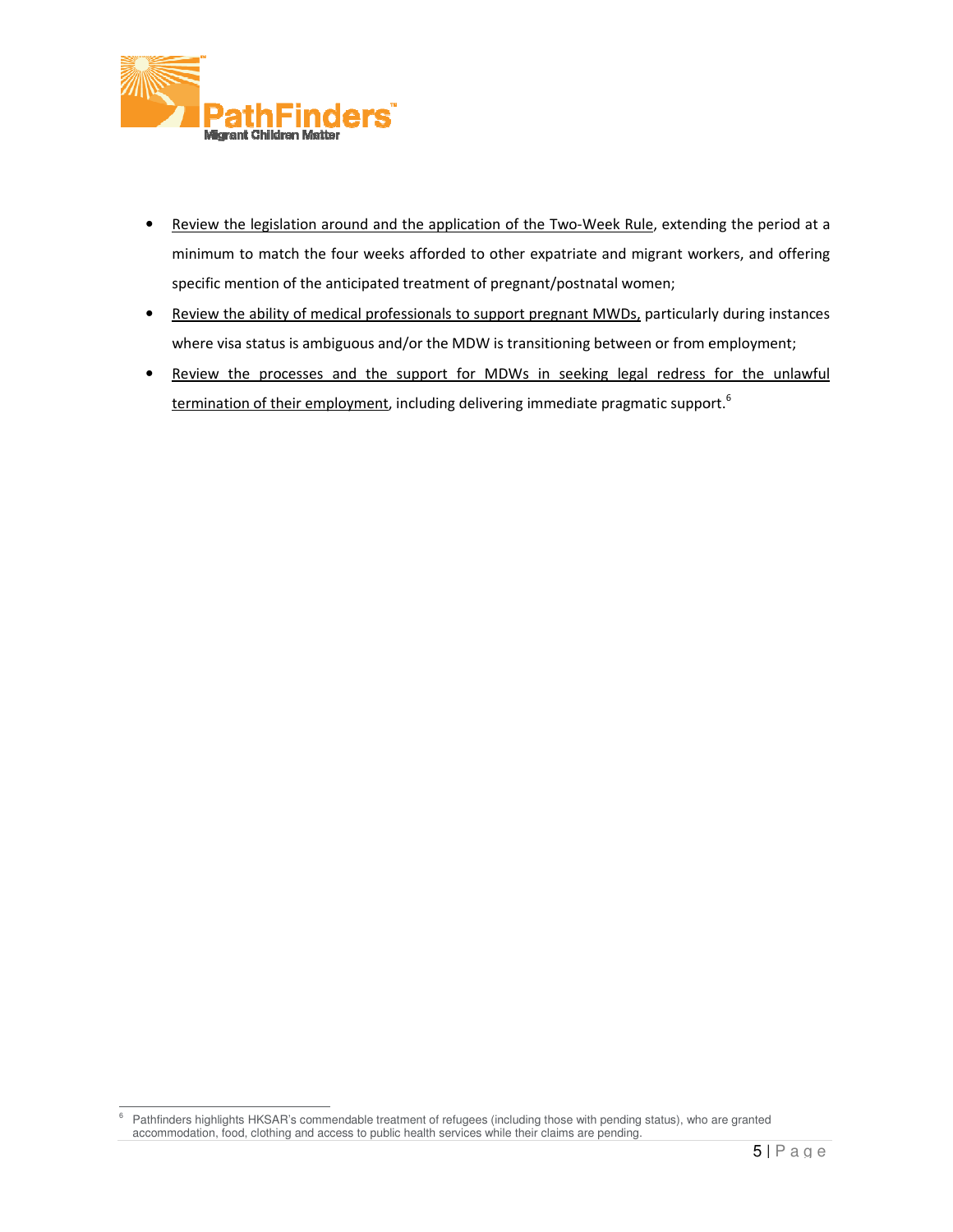

- Review the legislation around and the application of the Two-Week Rule, extending the period at a minimum to match the four weeks afforded to other expatriate and migrant workers, and offering<br>specific mention of the anticipated treatment of pregnant/postnatal women; specific mention of the anticipated treatment of pregnant/postnatal women; , extending the period at a<br>grant workers, and offering<br>en;<br>articularly during instances
- Review the ability of medical professionals to support pregnant MWDs, particularly during ins where visa status is ambiguous and/or the MDW is transitioning between or from employment;
- Review the processes and the support for MDWs in seeking legal redress for the unlawful where visa status is ambiguous and/or the MDW is transitioning between or from employment, including the MDWs in seeking legal redress for their employment, including delivering immediate pragmatic support.<sup>6</sup>

e<br>
Fathfinders highlights HKSAR's commendable treatment of refugees (including those with pending status), who are granted accommodation, food, clothing and access to public health services while their claims are pending.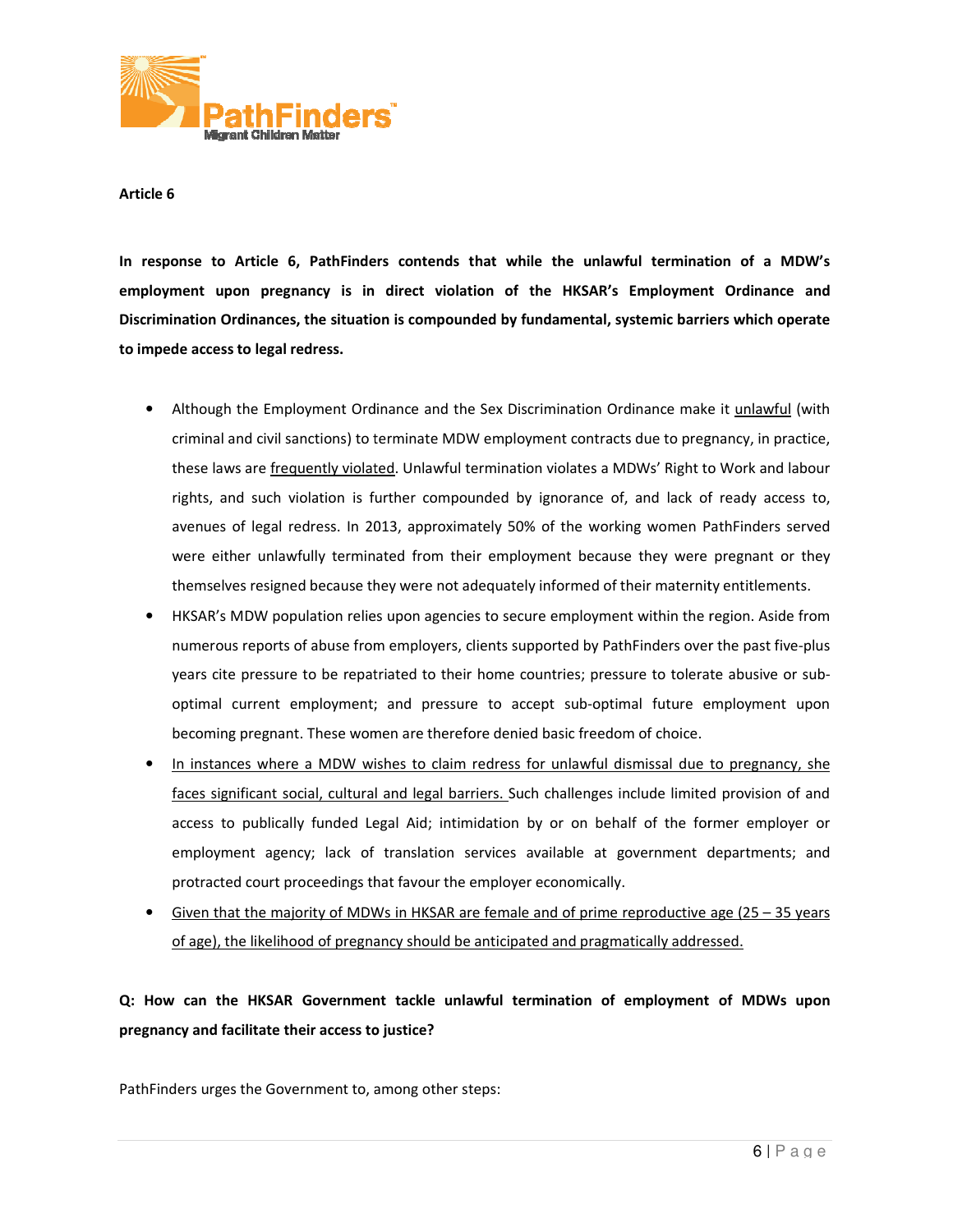

In response to Article 6, PathFinders contends that while the unlawful termination of a MDW's employment upon pregnancy is in direct violation of the HKSAR's Employment Ordinance and Discrimination Ordinances, the situation is compounded by fundamental, systemic barriers which operate to impede access to legal redress.

- Although the Employment Ordinance and the Sex Discrimination Ordinance make it *unlawful* (with criminal and civil sanctions) to terminate MDW employment contracts due to pregnancy, in practice, these laws are <u>frequentl</u> criminal and civil sanctions) to terminate MDW employment contracts due to pregnancy, in practice, these laws are frequently violated. Unlawful termination violates a MDWs' Right to Work and labour rights, and such violation is further compounded by ignorance of, and lack of ready access to, avenues of legal redress. In 2013, approximately 50% of the working women PathFinders served were either unlawfully terminated from their employment because they were pregnant or they themselves resigned because they were not adequately informed of their maternity entitlements. sanctions) to terminate MDW employment contracts due to pregnancy, in practice, equently violated. Unlawful termination violates a MDWs' Right to Work and labour violation is further compounded by ignorance of, and lack of
- HKSAR's MDW population relies upon agencies to secure employment within the region. Aside from numerous reports of abuse from employers, clients supported by PathFinders over the past five-plus years cite pressure to be repatriated to their home countries; pressure to tolerate abusive or suboptimal current employment; and pressure to accept sub-optimal future employment upon becoming pregnant. These women are therefore denied basic freedom of choice. ully terminated from their employment because they were pregnant or they<br>thecause they were not adequately informed of their maternity entitlements.<br>alation relies upon agencies to secure employment within the region. Asid
- In instances where a MDW wishes to claim redress for unlawful dismissal due to pregnancy, she In instances where a MDW wishes to claim redress for unlawful dismissal due to pregnancy, she<br>faces significant social, cultural and legal barriers. Such challenges include limited provision of and access to publically funded Legal Aid; intimidation by or on behalf of the former employer or employment agency; lack of translation services available at government departments; and<br>protracted court proceedings that favour the employer economically.<br>Given that the majority of MDWs in HKSAR are female and of prime protracted court proceedings that favour the employer economically. ent employment; and pressure to accept sub-optimal future employment upon<br>egnant. These women are therefore denied basic freedom of choice.<br>where a MDW wishes to claim redress for unlawful dismissal due to pregnancy, she<br>a
- Given that the majority of MDWs in HKSAR are female and of prime reproductive age  $(25 35$  years of age), the likelihood of pregnancy should be anticipated and pragmatically addressed.

# Q: How can the HKSAR Government tackle unlawful termination of employment of MDWs upon<br>pregnancy and facilitate their access to justice? pregnancy and facilitate their access to justice?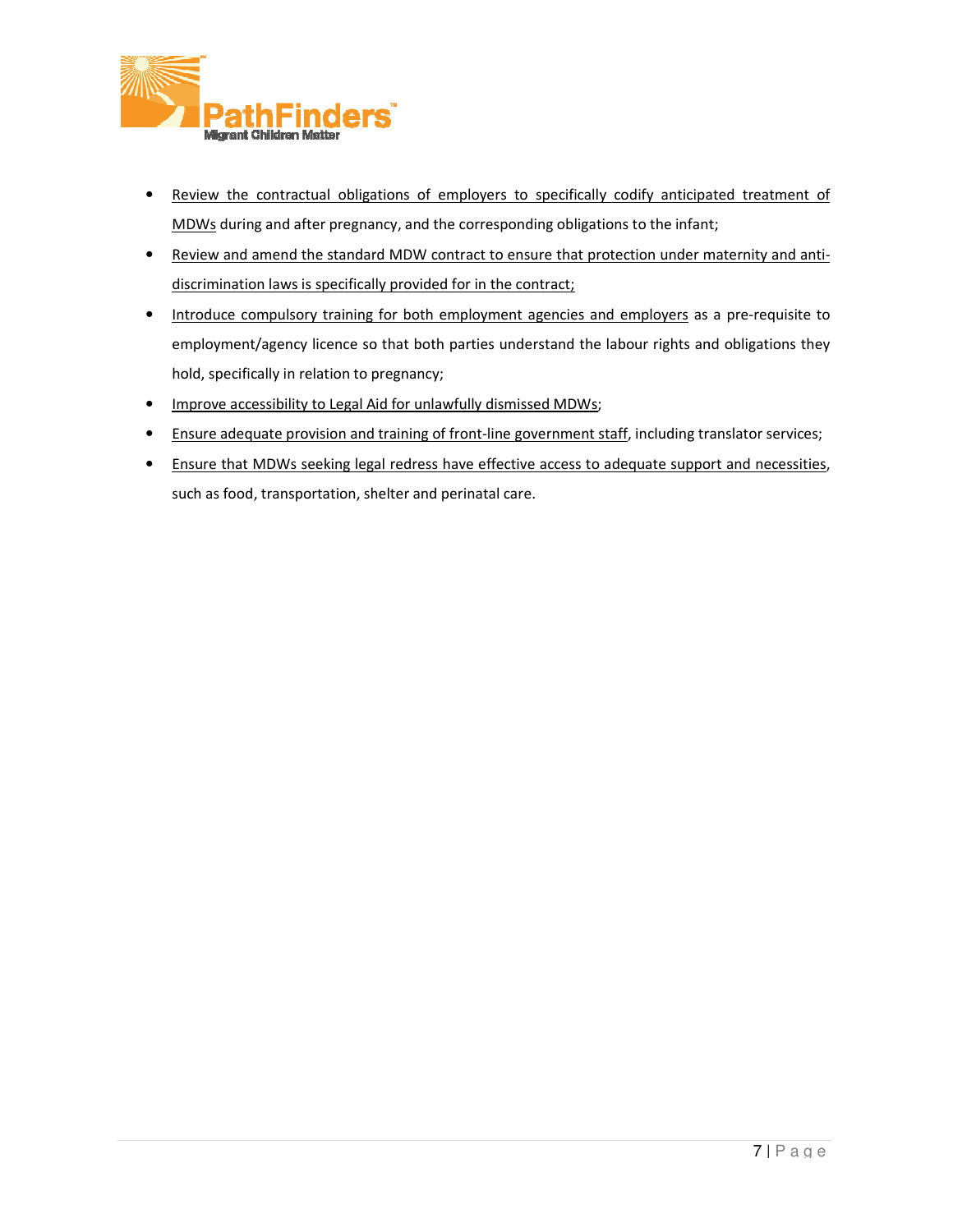

- Review the contractual obligations of employers to specifically codify anticipated treatment of MDWs during and after pregnancy, and the corresponding obligations to the infant; MDWs during and after pregnancy, and the corresponding obligations to the infant;
- Review and amend the standard MDW contract to ensure that protection under maternity and antidiscrimination laws is specifically provided for in the contract;
- Introduce compulsory training for both employment agencies and employers as a pre-requisite to employment/agency licence so that both parties understand the labour rights and obligations they<br>hold, specifically in relation to pregnancy; hold, specifically in relation to pregnancy; employment/agency licence so that both parties understand the labour rights and obligations they<br>
hold, specifically in relation to pregnancy;<br>
• Improve accessibility to Legal Aid for unlawfully dismissed MDWs;<br>
• Ensure
- Improve accessibility to Legal Aid for unlawfully dismissed MDWs;
- 
- Ensure that MDWs seeking legal redress have effective access to adequate support and necessities,<br>such as food, transportation, shelter and perinatal care. such as food, transportation, shelter and perinatal care.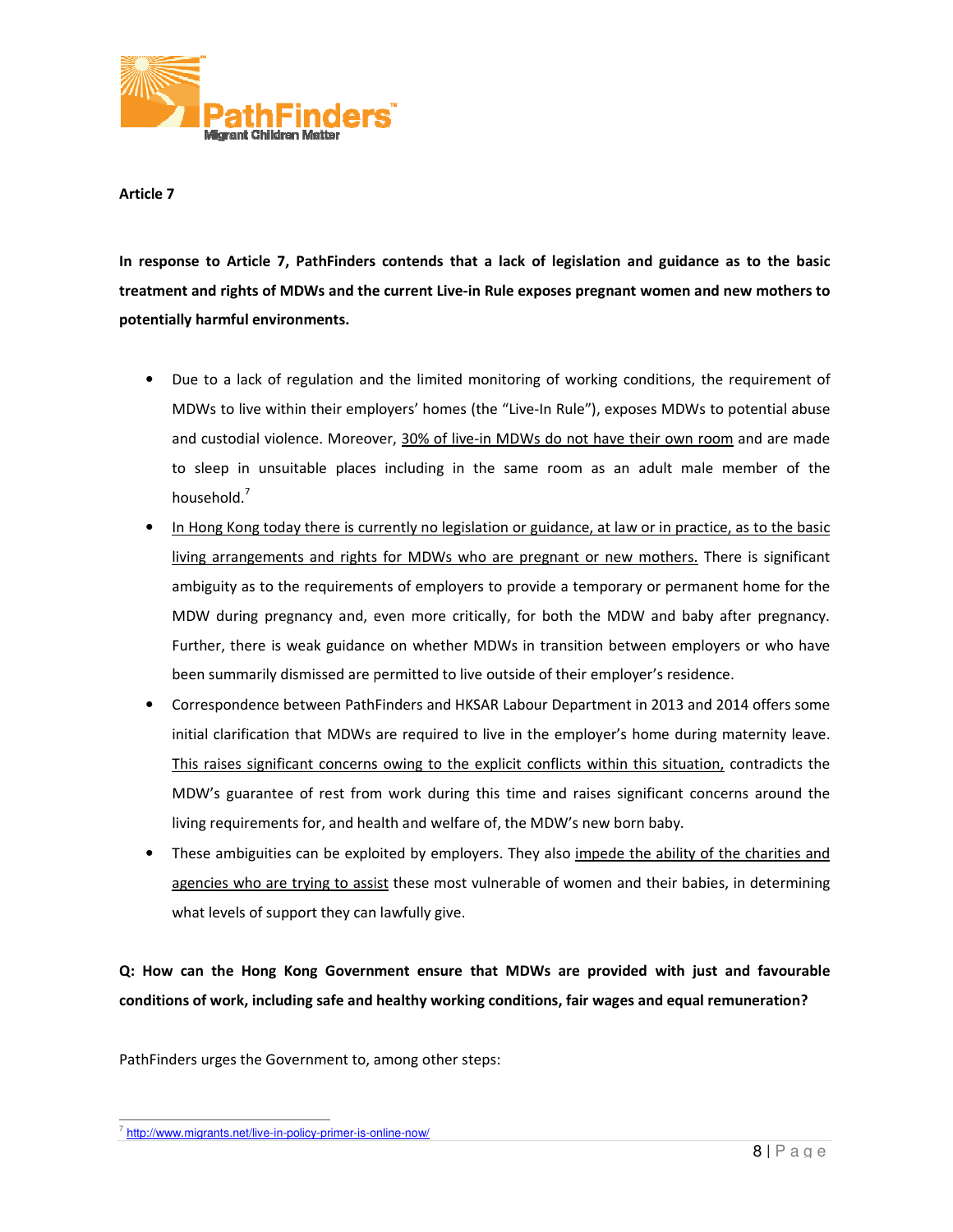

In response to Article 7, PathFinders contends that a lack of legislation and guidance as to the basic In response to Article 7, PathFinders contends that a lack of legislation and guidance as to the basic<br>treatment and rights of MDWs and the current Live-in Rule exposes pregnant women and new mothers to potentially harmful environments.

- Due to a lack of regulation and the limited monitoring of working conditions, the requirement of MDWs to live within their employers' homes (the "Live-In Rule"), exposes MDWs to potential abuse<br>and custodial violence. Moreover, <u>30% of live-in MDWs do not have their own room</u> and are made and custodial violence. Moreover, 30% of live-in MDWs do not have their own room to sleep in unsuitable places including in the same room as an adult male member of the household.<sup>7</sup>
- In Hong Kong today there is currently no legislation or guidance, at law or in practice, as to the basic to sleep in unsuitable places including in the same room as an adult male member of the<br>household.<sup>7</sup><br>In Hong Kong today there is currently no legislation or guidance, at law or in practice, as to the basic<br>living arrangem ambiguity as to the requirements of employers to provide a temporary or permanent home for the MDW during pregnancy and, even more critically, for both the MDW and baby after pregnancy. Further, there is weak guidance on whether MDWs in transition between employers or who have been summarily dismissed are permitted to live outside of their employer's residence. mbiguity as to the requirements of employers to provide a temporary or permanent h<br>MDW during pregnancy and, even more critically, for both the MDW and baby after<br>urther, there is weak guidance on whether MDWs in transitio Hong Kong today there is currently no legislation or guidance, at law or in practice, as to the basic<br>ing arrangements and rights for MDWs who are pregnant or new mothers. There is significant<br>ibiguity as to the requiremen
- Correspondence between PathFinders and HKSAR Labour Department in 2013 and 2014 offers some initial clarification that MDWs are required to live in the employer's home during maternity leave.<br>This raises significant concerns owing to the explicit conflicts within this situation, contradicts the This raises significant concerns owing to the explicit conflicts within this situation, contradicts the This raises significant concerns owing to the explicit conflicts within this situation, contradicts the<br>MDW's guarantee of rest from work during this time and raises significant concerns around the living requirements for, and health and welfare of, the MDW's new born baby.
- living requirements for, and health and welfare of, the MDW's new born baby.<br>These ambiguities can be exploited by employers. They also impede the ability of the charities and agencies who are trying to assist these most vulnerable of women and their babies, what levels of support they can lawfully give. raises significant concerns around the<br>s new born baby.<br>impede the ability of the charities and<br>romen and their babies, in determining

Q: How can the Hong Kong Government ensure that MDWs are provided with just and favourable<br>conditions of work, including safe and healthy working conditions, fair wages and equal remuneration? conditions of work, including safe and healthy working conditions, fair wages and equal remuneration?

 $\overline{a}$ <sup>7</sup> http://www.migrants.net/live-in-policy-primer-is-online-now/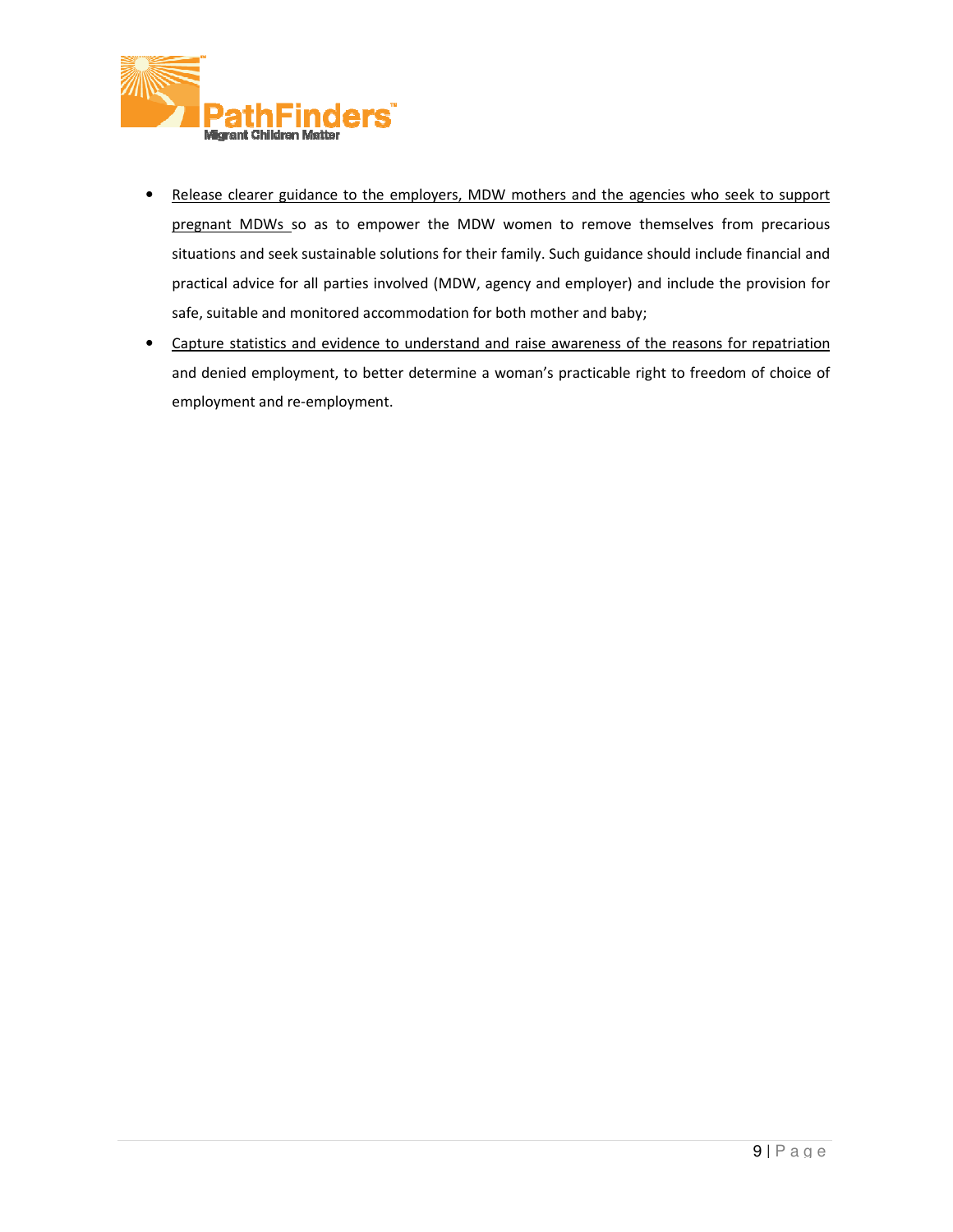

- Release clearer guidance to the employers, MDW mothers and the agencies who seek to support pregnant MDWs so as to empower the MDW women to remove themselves from precarious situations and seek sustainable solutions for their family. Such guidance should include financial and practical advice for all parties involved (MDW, agency and employer) and include the safe, suitable and monitored accommodation for both mother and baby; mothers and the agencies who seek to support<br>women to remove themselves from precarious<br>family. Such guidance should include financial and<br>ency and employer) and include the provision for
- Capture statistics and evidence to understand and raise awareness of the reasons for repatriation Capture statistics and evidence to understand and raise awareness of the reasons for repatriation<br>and denied employment, to better determine a woman's practicable right to freedom of choice of employment and re-employment. employment.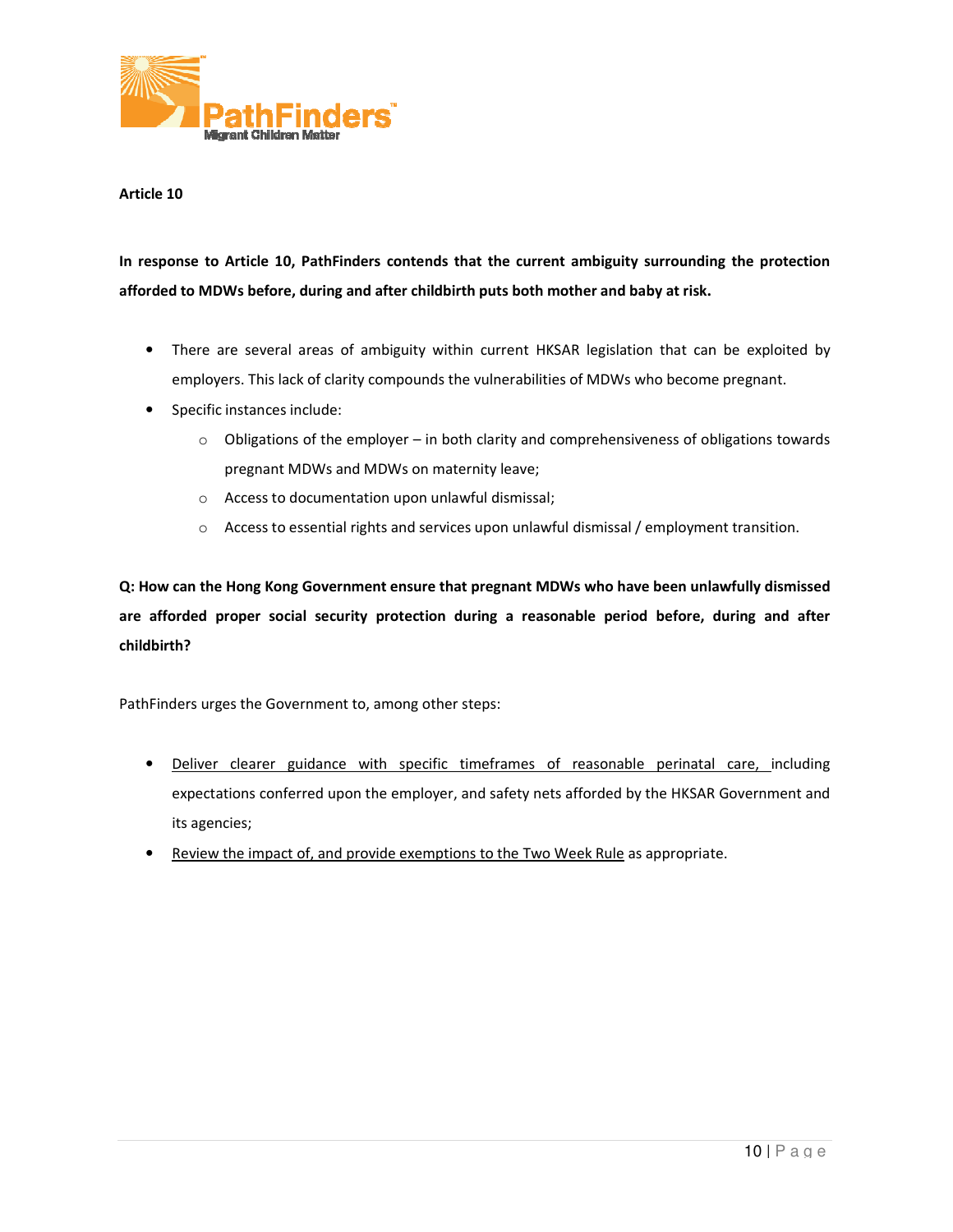

In response to Article 10, PathFinders contends that the current ambiguity surrounding the protection afforded to MDWs before, during and after childbirth puts both mother and baby at risk.

- There are several areas of ambiguity within current HKSAR legislation that can be exploited by employers. This lack of clarity compounds the vulnerabilities of MDWs who become pregnant. re are several areas of ambiguity within current HKSAR legislation that can be exploited by<br>bloyers. This lack of clarity compounds the vulnerabilities of MDWs who become pregnant.<br>cific instances include:<br>o Obligations of
- Specific instances include:
	- pregnant MDWs and MDWs on maternity leave;
	- o Access to documentation upon unlawful dismissal dismissal;
	- $\circ$  Access to essential rights and services upon unlawful dismissal / employment transition.

Q: How can the Hong Kong Government ensure that pregnant MDWs who have been unlawfully dismissed Q: How can the Hong Kong Government ensure that pregnant MDWs who have been unlawfully dismissed<br>are afforded proper social security protection during a reasonable period before, during and after childbirth?

- Deliver clearer guidance with specific timeframes of reasonable perinatal care, including expectations conferred upon the employer, and safety nets afforded by the HKSAR Government and its agencies; earer guidance with specific timeframes of reasonable perinatal<br>ns conferred upon the employer, and safety nets afforded by the HKSAR G<br>s;<br>e impact of, and provide exemptions to the Two Week Rule as appropriate.
- Review the impact of, and provide exemptions to the Two Week Rule as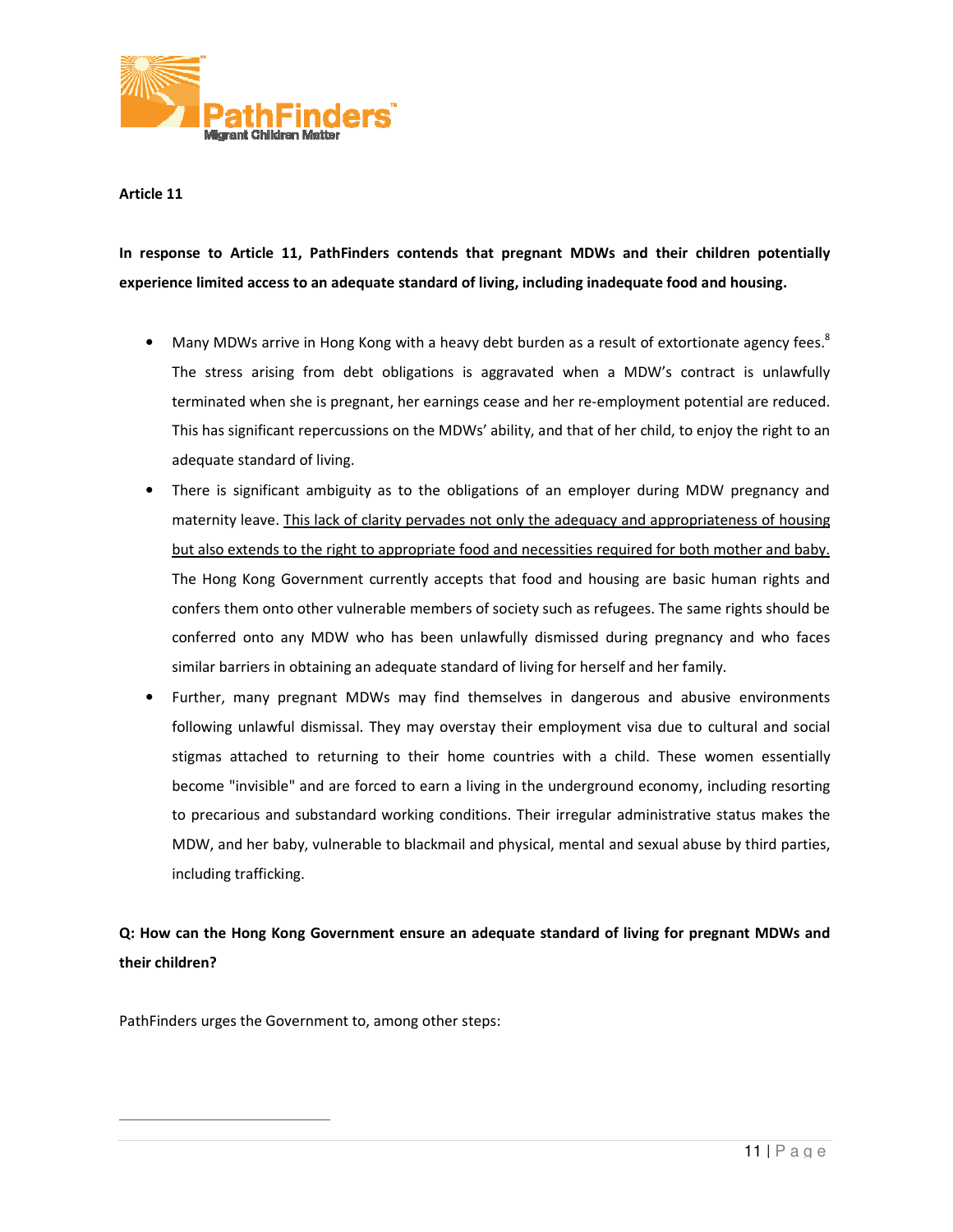

In response to Article 11, PathFinders contends that pregnant MDWs and their children potentially In response to Article 11, PathFinders contends that pregnant MDWs and their children pote<br>experience limited access to an adequate standard of living, including inadequate food and housing.

- Many MDWs arrive in Hong Kong with a heavy debt burden as a result of extortionate agency fees.<sup>8</sup><br>The stress arising from debt obligations is aggravated when a MDW's contract is unlawfully The stress arising from debt obligations is aggravated when a MDW's contract is unlawfully terminated when she is pregnant, her earnings cease and her re-employment potential are reduced. This has significant repercussions on the MDWs' ability, and that of her child, to enjoy the right to an adequate standard of living.
- There is significant ambiguity as to the obligations of an employer during MDW pregnancy and maternity leave. This lack of clarity pervades not only the adequacy and appropriateness of housing but also extends to the right to appropriate food and necessities required for both mother and baby. The Hong Kong Government currently accepts that food and housing are basic human rights and confers them onto other vulnerable members of society such as refugees. The same rights should be conferred onto any MDW who has been unlawfully dismissed during pregnancy and who faces similar barriers in obtaining an adequate standard of living for herself and her family. bercussions on the MDWs' ability, and that of her child, to enjoy the right to an<br>living.<br>mbiguity as to the obligations of an employer during MDW pregnancy and<br>ack of clarity pervades not only the adequacy and appropriate has significant repercussions on the MDWs' ability, and that of her child, to enjoy the right to an<br>quate standard of living.<br>re is significant ambiguity as to the obligations of an employer during MDW pregnancy and<br>ernity
- Further, many pregnant MDWs may find themselves in dangerous and abusive environments following unlawful dismissal. They may overstay their employment visa due to cultural and social stigmas attached to returning to their home countries with a child. These women essentially become "invisible" and are forced to earn a living in the underground economy, including resorting to precarious and substandard working conditions. Their irregular administrative status makes the become "invisible" and are forced to earn a living in the underground economy, including resorting<br>to precarious and substandard working conditions. Their irregular administrative status makes the<br>MDW, and her baby, vulner including trafficking. and themselves in dangerous and abusive environments<br>verstay their employment visa due to cultural and social<br>home countries with a child. These women essentially gmas attached to returning to their home countries with a child. These women essentially<br>come "invisible" and are forced to earn a living in the underground economy, including resorting<br>precarious and substandard working c

Q: How can the Hong Kong Government ensure an adequate standard of living for pregnant MDWs and their children?

PathFinders urges the Government to, among other steps:

 $\overline{a}$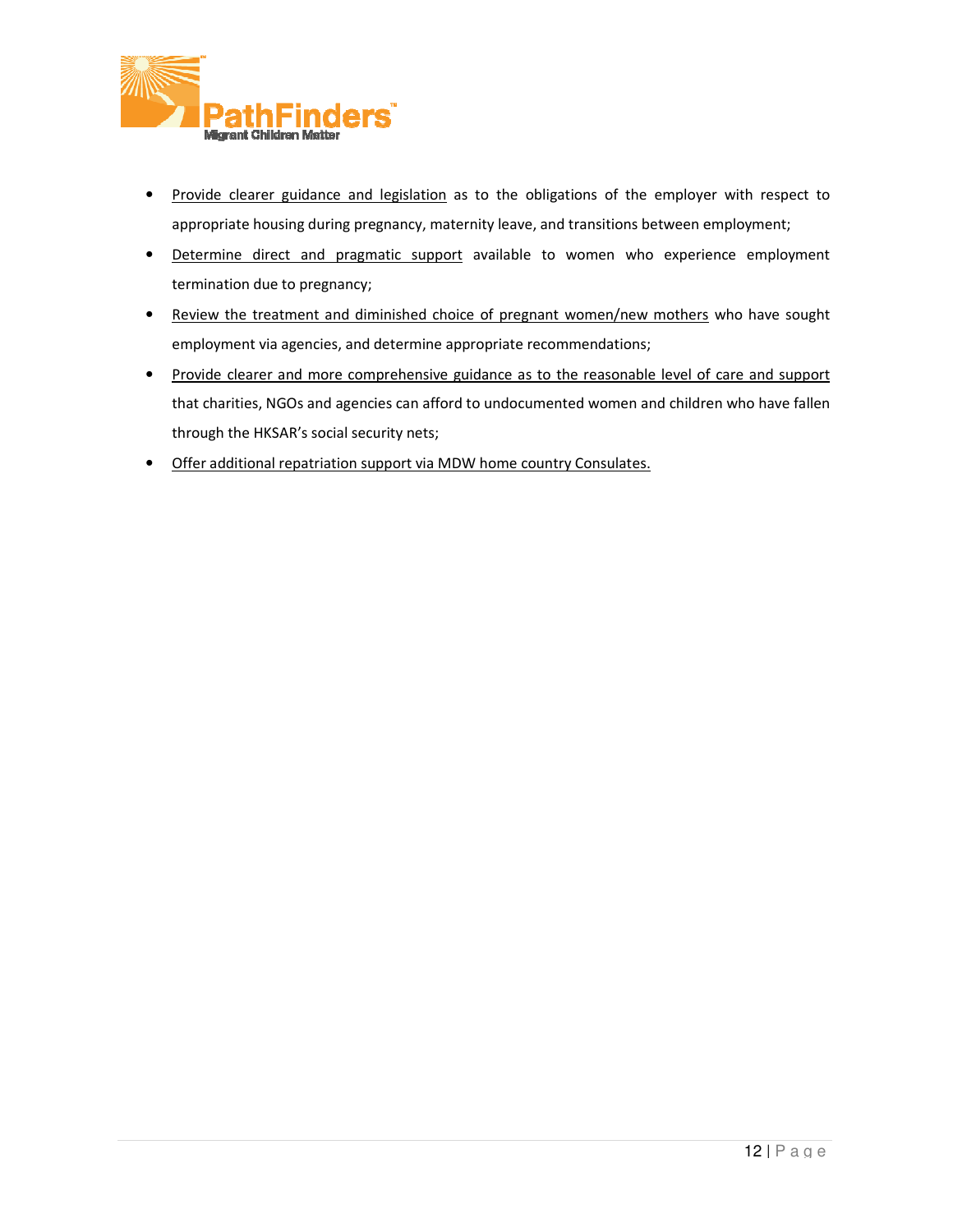

- Provide clearer guidance and legislation as to the obligations of the employer with respect to Provide clearer guidance and legislation as to the obligations of the employer with respe<br>appropriate housing during pregnancy, maternity leave, and transitions between employment;
- appropriate housing during pregnancy, maternity leave, and transitions between employment;<br>• Determine direct and pragmatic support available to women who experience employment termination due to pregnancy; • Determine direct and pragmatic support available to women who experience employment<br>termination due to pregnancy;<br>• Review the treatment and diminished choice of pregnant women/new mothers who have sought
- employment via agencies, and determine appropriate recommendations;
- Provide clearer and more comprehensive guidance as to the reasonable level of care and support that charities, NGOs and agencies can afford to undocumented women and children who have fallen<br>through the HKSAR's social security nets; through the HKSAR's social security nets more comprehensive guidance as to the reasonable level of care and<br>and agencies can afford to undocumented women and children who hav
- Offer additional repatriation support via MDW home country Consulates.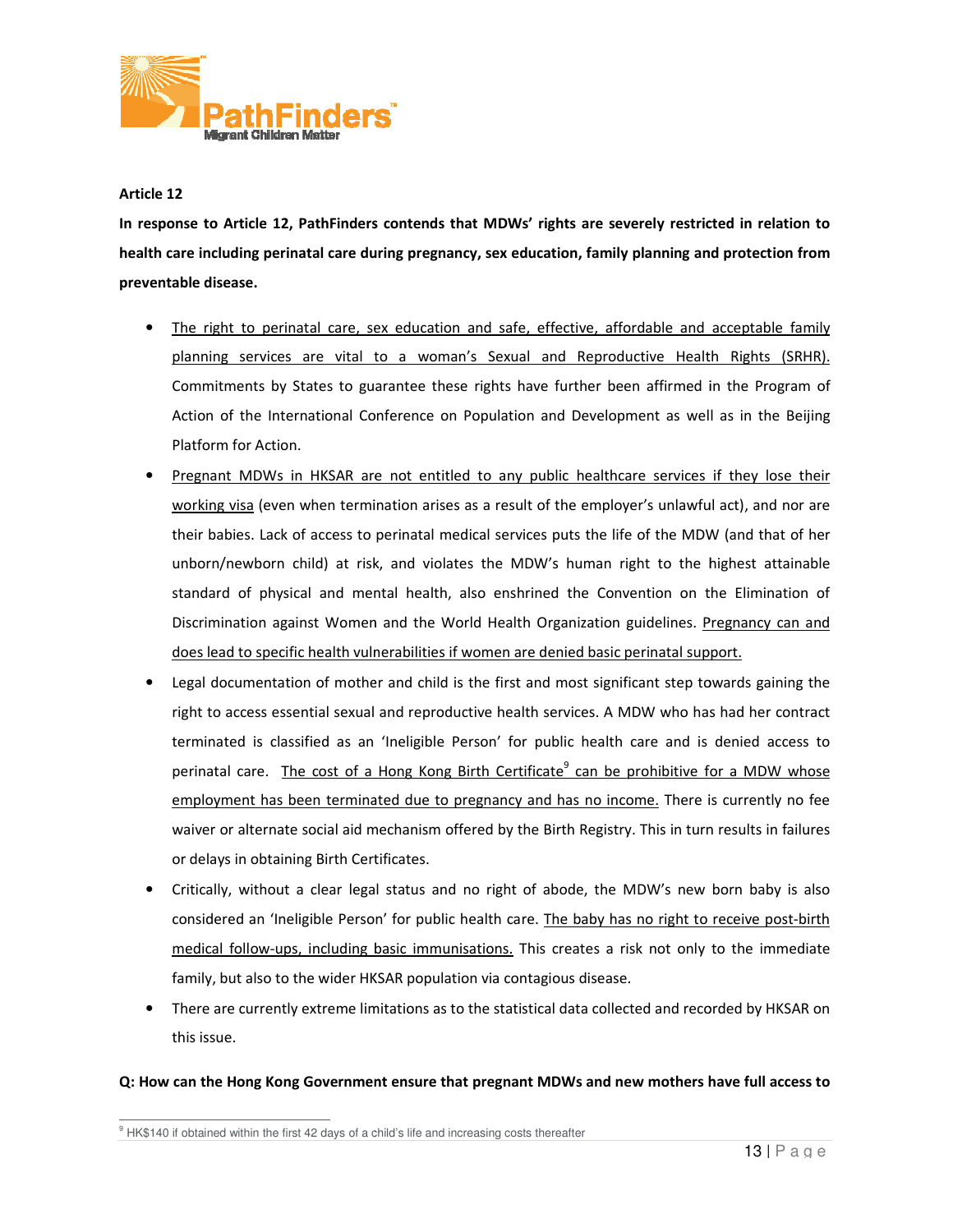

In response to Article 12, PathFinders contends that MDWs' rights are severely restricted in relation to health care including perinatal care during pregnancy, sex education, family planning and protection from preventable disease.

- The right to perinatal care, sex education and safe, effective, affordable and acceptable family The right to perinatal care, sex education and safe, effective, affordable and acceptable family<br>planning services are vital to a woman's Sexual and Reproductive Health Rights (SRHR). Commitments by States to guarantee these rights have further been affirmed in the Program of Action of the International Conference on Population and Development as well as in the Beijing Platform for Action. Commitments by States to guarantee these rights have further been affirmed in the Program of<br>Action of the International Conference on Population and Development as well as in the Beijing<br>Platform for Action.<br><u>Pregnant MDW</u> g services are vital to a woman's Sexual and Reproductive Health Rights (SRHR).<br>
tments by States to guarantee these rights have further been affirmed in the Program of<br>
of the International Conference on Population and De
- Pregnant MDWs in HKSAR are not entitled to any public healthcare services if they lose their working visa (even when termination arises as a result of the employer's unlawful act), and nor are their babies. Lack of access to perinatal medical services puts the life of the MDW (and that of her unborn/newborn child) at risk, and violates the MDW's human right to the highest attainable standard of physical and mental health, also enshrined the Convention on the Elimination of Discrimination against Women and the World Health Organization guidelines. Pregnancy can and does lead to specific health vulnerabilities if women are denied basic perinatal support. Lack of access to perinatal medical services puts the life of the MDW (and that of her<br>porn child) at risk, and violates the MDW's human right to the highest attainable<br>physical and mental health, also enshrined the Conven
- Legal documentation of mother and child is the first and most significant step towards gaining the right to access essential sexual and reproductive health services. A MDW who has had her contract terminated is classifie right to access essential sexual and reproductive health services. A MDW who has had her contract terminated is classified as an 'Ineligible Person' for publ perinatal care. The cost of a Hong Kong Birth Certificate<sup>9</sup> can be prohibitive for a MDW whose employment has been terminated due to pregnancy and has no income. There is currently no fee waiver or alternate social aid mechanism offered by the Birth Registry. This in turn or delays in obtaining Birth Certificate Certificates. unborn/newborn child) at risk, and violates the MDW's human right to the highest attainable<br>standard of physical and mental health, also enshrined the Convention on the Elimination of<br>Discrimination against Women and the W
- Critically, without a clear legal status and no right of abode, the MDW's new born baby is also<br>considered an 'Ineligible Person' for public health care. The baby has no right to receive post-birth considered an 'Ineligible Person' for public health care. The baby has no right to receive post medical follow-ups, including basic immunisations. This creates a risk not only to the immediate family, but also to the wider HKSAR population via contagious disease. medical follow-ups, including basic immunisations. This creates a risk not only to the immediate<br>
family, but also to the wider HKSAR population via contagious disease.<br>
• There are currently extreme limitations as to the
- this issue.

### Q: How can the Hong Kong Government ensure that pregnant MDWs and new mothers have full access to

 $\overline{a}$  $^9$  HK\$140 if obtained within the first 42 days of a child's life and increasing costs thereafter